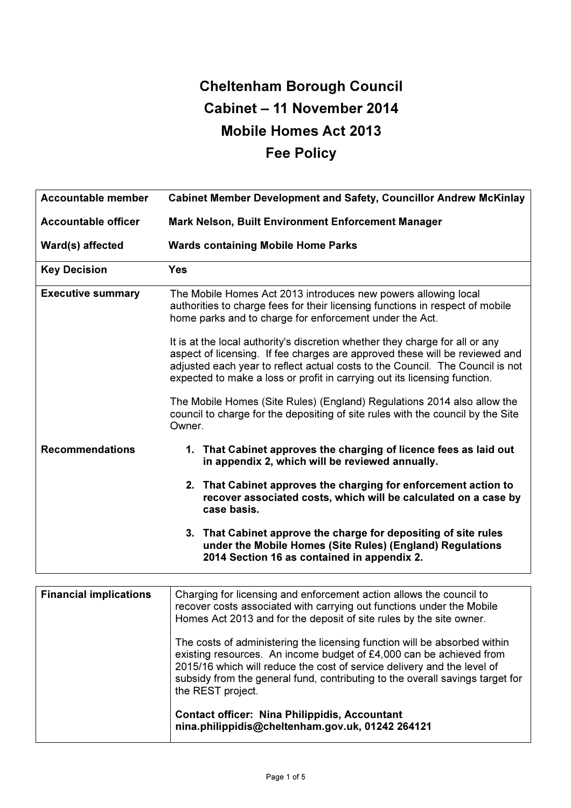# Cheltenham Borough Council Cabinet – 11 November 2014 Mobile Homes Act 2013 Fee Policy

| <b>Accountable member</b>  | <b>Cabinet Member Development and Safety, Councillor Andrew McKinlay</b>                                                                                                                                                                                                                                                  |  |  |  |  |  |  |  |
|----------------------------|---------------------------------------------------------------------------------------------------------------------------------------------------------------------------------------------------------------------------------------------------------------------------------------------------------------------------|--|--|--|--|--|--|--|
| <b>Accountable officer</b> | <b>Mark Nelson, Built Environment Enforcement Manager</b>                                                                                                                                                                                                                                                                 |  |  |  |  |  |  |  |
| Ward(s) affected           | <b>Wards containing Mobile Home Parks</b>                                                                                                                                                                                                                                                                                 |  |  |  |  |  |  |  |
| <b>Key Decision</b>        | <b>Yes</b>                                                                                                                                                                                                                                                                                                                |  |  |  |  |  |  |  |
| <b>Executive summary</b>   | The Mobile Homes Act 2013 introduces new powers allowing local<br>authorities to charge fees for their licensing functions in respect of mobile<br>home parks and to charge for enforcement under the Act.                                                                                                                |  |  |  |  |  |  |  |
|                            | It is at the local authority's discretion whether they charge for all or any<br>aspect of licensing. If fee charges are approved these will be reviewed and<br>adjusted each year to reflect actual costs to the Council. The Council is not<br>expected to make a loss or profit in carrying out its licensing function. |  |  |  |  |  |  |  |
|                            | The Mobile Homes (Site Rules) (England) Regulations 2014 also allow the<br>council to charge for the depositing of site rules with the council by the Site<br>Owner.                                                                                                                                                      |  |  |  |  |  |  |  |
| <b>Recommendations</b>     | 1. That Cabinet approves the charging of licence fees as laid out<br>in appendix 2, which will be reviewed annually.                                                                                                                                                                                                      |  |  |  |  |  |  |  |
|                            | 2. That Cabinet approves the charging for enforcement action to<br>recover associated costs, which will be calculated on a case by<br>case basis.                                                                                                                                                                         |  |  |  |  |  |  |  |
|                            | 3. That Cabinet approve the charge for depositing of site rules<br>under the Mobile Homes (Site Rules) (England) Regulations<br>2014 Section 16 as contained in appendix 2.                                                                                                                                               |  |  |  |  |  |  |  |

| <b>Financial implications</b> | Charging for licensing and enforcement action allows the council to<br>recover costs associated with carrying out functions under the Mobile<br>Homes Act 2013 and for the deposit of site rules by the site owner.                                                                                                               |
|-------------------------------|-----------------------------------------------------------------------------------------------------------------------------------------------------------------------------------------------------------------------------------------------------------------------------------------------------------------------------------|
|                               | The costs of administering the licensing function will be absorbed within<br>existing resources. An income budget of £4,000 can be achieved from<br>2015/16 which will reduce the cost of service delivery and the level of<br>subsidy from the general fund, contributing to the overall savings target for<br>the REST project. |
|                               | <b>Contact officer: Nina Philippidis, Accountant</b><br>nina.philippidis@cheltenham.gov.uk, 01242 264121                                                                                                                                                                                                                          |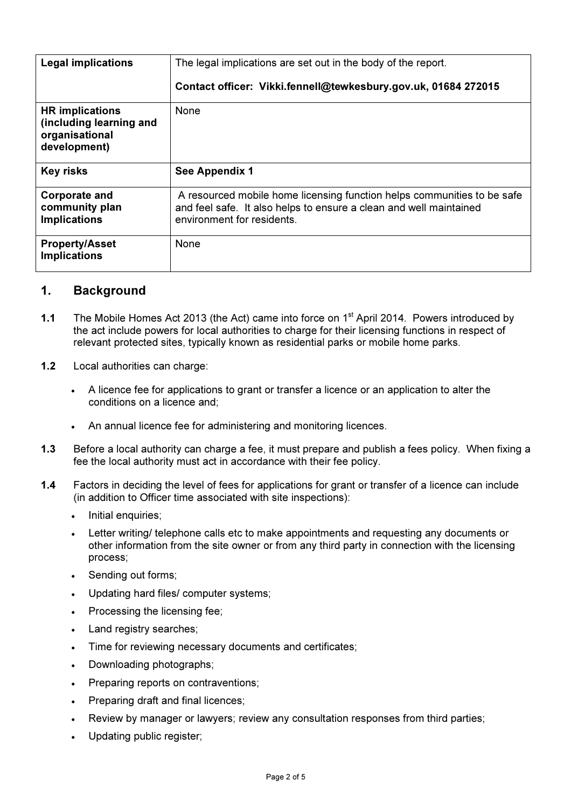| <b>Legal implications</b>                                                           | The legal implications are set out in the body of the report.<br>Contact officer: Vikki.fennell@tewkesbury.gov.uk, 01684 272015                                             |  |  |  |  |  |
|-------------------------------------------------------------------------------------|-----------------------------------------------------------------------------------------------------------------------------------------------------------------------------|--|--|--|--|--|
| <b>HR</b> implications<br>(including learning and<br>organisational<br>development) | None                                                                                                                                                                        |  |  |  |  |  |
| <b>Key risks</b>                                                                    | See Appendix 1                                                                                                                                                              |  |  |  |  |  |
| <b>Corporate and</b><br>community plan<br><b>Implications</b>                       | A resourced mobile home licensing function helps communities to be safe<br>and feel safe. It also helps to ensure a clean and well maintained<br>environment for residents. |  |  |  |  |  |
| <b>Property/Asset</b><br><b>Implications</b>                                        | None                                                                                                                                                                        |  |  |  |  |  |

# 1. Background

- 1.1 The Mobile Homes Act 2013 (the Act) came into force on 1<sup>st</sup> April 2014. Powers introduced by the act include powers for local authorities to charge for their licensing functions in respect of relevant protected sites, typically known as residential parks or mobile home parks.
- 1.2 Local authorities can charge:
	- A licence fee for applications to grant or transfer a licence or an application to alter the conditions on a licence and;
	- An annual licence fee for administering and monitoring licences.
- 1.3 Before a local authority can charge a fee, it must prepare and publish a fees policy. When fixing a fee the local authority must act in accordance with their fee policy.
- 1.4 Factors in deciding the level of fees for applications for grant or transfer of a licence can include (in addition to Officer time associated with site inspections):
	- Initial enquiries;
	- Letter writing/ telephone calls etc to make appointments and requesting any documents or other information from the site owner or from any third party in connection with the licensing process;
	- Sending out forms;
	- Updating hard files/ computer systems;
	- Processing the licensing fee;
	- Land registry searches;
	- Time for reviewing necessary documents and certificates;
	- Downloading photographs;
	- Preparing reports on contraventions;
	- Preparing draft and final licences;
	- Review by manager or lawyers; review any consultation responses from third parties;
	- Updating public register;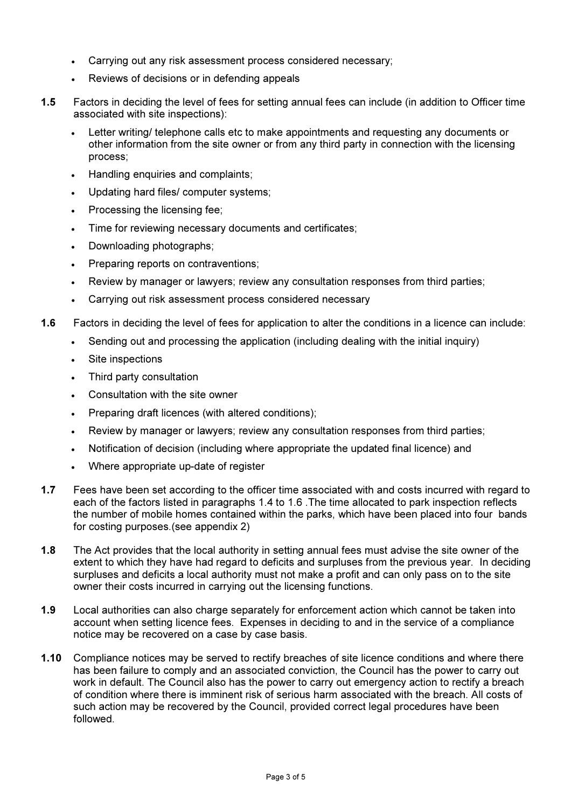- Carrying out any risk assessment process considered necessary;
- Reviews of decisions or in defending appeals
- 1.5 Factors in deciding the level of fees for setting annual fees can include (in addition to Officer time associated with site inspections):
	- Letter writing/ telephone calls etc to make appointments and requesting any documents or other information from the site owner or from any third party in connection with the licensing process;
	- Handling enquiries and complaints;
	- Updating hard files/ computer systems;
	- Processing the licensing fee;
	- Time for reviewing necessary documents and certificates;
	- Downloading photographs;
	- Preparing reports on contraventions;
	- Review by manager or lawyers; review any consultation responses from third parties;
	- Carrying out risk assessment process considered necessary
- 1.6 Factors in deciding the level of fees for application to alter the conditions in a licence can include:
	- Sending out and processing the application (including dealing with the initial inquiry)
	- Site inspections
	- Third party consultation
	- Consultation with the site owner
	- Preparing draft licences (with altered conditions);
	- Review by manager or lawyers; review any consultation responses from third parties;
	- Notification of decision (including where appropriate the updated final licence) and
	- Where appropriate up-date of register
- 1.7 Fees have been set according to the officer time associated with and costs incurred with regard to each of the factors listed in paragraphs 1.4 to 1.6 .The time allocated to park inspection reflects the number of mobile homes contained within the parks, which have been placed into four bands for costing purposes.(see appendix 2)
- 1.8 The Act provides that the local authority in setting annual fees must advise the site owner of the extent to which they have had regard to deficits and surpluses from the previous year. In deciding surpluses and deficits a local authority must not make a profit and can only pass on to the site owner their costs incurred in carrying out the licensing functions.
- 1.9 Local authorities can also charge separately for enforcement action which cannot be taken into account when setting licence fees. Expenses in deciding to and in the service of a compliance notice may be recovered on a case by case basis.
- 1.10 Compliance notices may be served to rectify breaches of site licence conditions and where there has been failure to comply and an associated conviction, the Council has the power to carry out work in default. The Council also has the power to carry out emergency action to rectify a breach of condition where there is imminent risk of serious harm associated with the breach. All costs of such action may be recovered by the Council, provided correct legal procedures have been followed.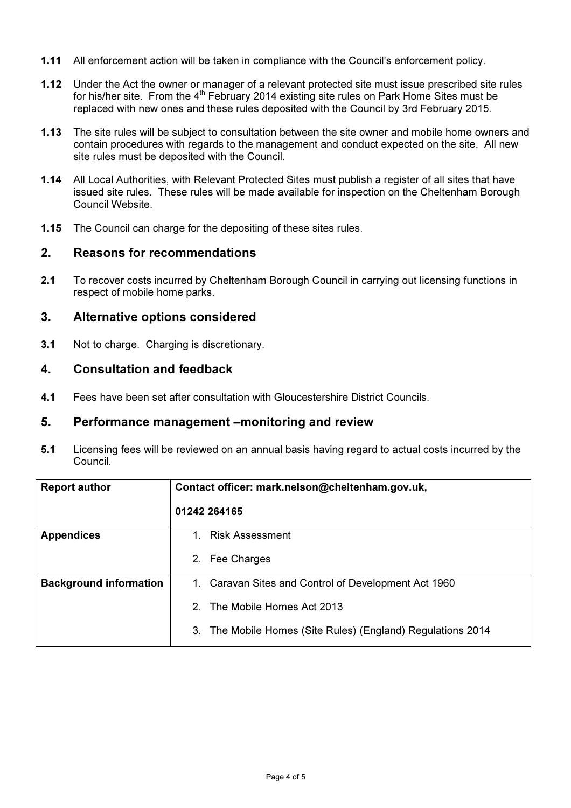- 1.11 All enforcement action will be taken in compliance with the Council's enforcement policy.
- 1.12 Under the Act the owner or manager of a relevant protected site must issue prescribed site rules for his/her site. From the  $4<sup>th</sup>$  February 2014 existing site rules on Park Home Sites must be replaced with new ones and these rules deposited with the Council by 3rd February 2015.
- 1.13 The site rules will be subject to consultation between the site owner and mobile home owners and contain procedures with regards to the management and conduct expected on the site. All new site rules must be deposited with the Council.
- 1.14 All Local Authorities, with Relevant Protected Sites must publish a register of all sites that have issued site rules. These rules will be made available for inspection on the Cheltenham Borough Council Website.
- 1.15 The Council can charge for the depositing of these sites rules.

### 2. Reasons for recommendations

2.1 To recover costs incurred by Cheltenham Borough Council in carrying out licensing functions in respect of mobile home parks.

## 3. Alternative options considered

3.1 Not to charge. Charging is discretionary.

# 4. Consultation and feedback

4.1 Fees have been set after consultation with Gloucestershire District Councils.

#### 5. Performance management –monitoring and review

5.1 Licensing fees will be reviewed on an annual basis having regard to actual costs incurred by the Council.

| <b>Report author</b>          | Contact officer: mark.nelson@cheltenham.gov.uk,             |  |  |  |  |  |  |
|-------------------------------|-------------------------------------------------------------|--|--|--|--|--|--|
|                               | 01242 264165                                                |  |  |  |  |  |  |
| <b>Appendices</b>             | 1. Risk Assessment                                          |  |  |  |  |  |  |
|                               | 2. Fee Charges                                              |  |  |  |  |  |  |
| <b>Background information</b> | 1. Caravan Sites and Control of Development Act 1960        |  |  |  |  |  |  |
|                               | The Mobile Homes Act 2013<br>2                              |  |  |  |  |  |  |
|                               | 3. The Mobile Homes (Site Rules) (England) Regulations 2014 |  |  |  |  |  |  |